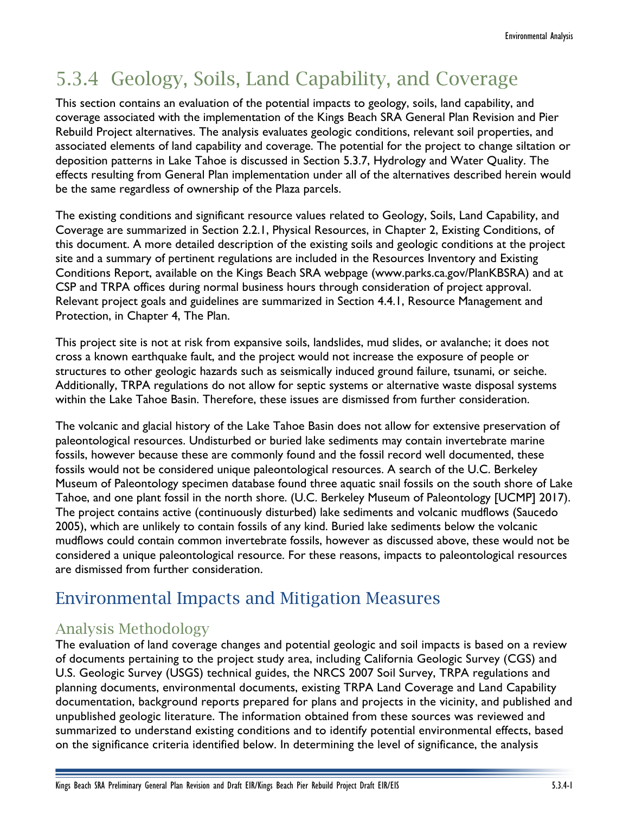# 5.3.4 Geology, Soils, Land Capability, and Coverage

This section contains an evaluation of the potential impacts to geology, soils, land capability, and coverage associated with the implementation of the Kings Beach SRA General Plan Revision and Pier Rebuild Project alternatives. The analysis evaluates geologic conditions, relevant soil properties, and associated elements of land capability and coverage. The potential for the project to change siltation or deposition patterns in Lake Tahoe is discussed in Section 5.3.7, Hydrology and Water Quality. The effects resulting from General Plan implementation under all of the alternatives described herein would be the same regardless of ownership of the Plaza parcels.

The existing conditions and significant resource values related to Geology, Soils, Land Capability, and Coverage are summarized in Section 2.2.1, Physical Resources, in Chapter 2, Existing Conditions, of this document. A more detailed description of the existing soils and geologic conditions at the project site and a summary of pertinent regulations are included in the Resources Inventory and Existing Conditions Report, available on the Kings Beach SRA webpage (www.parks.ca.gov/PlanKBSRA) and at CSP and TRPA offices during normal business hours through consideration of project approval. Relevant project goals and guidelines are summarized in Section 4.4.1, Resource Management and Protection, in Chapter 4, The Plan.

This project site is not at risk from expansive soils, landslides, mud slides, or avalanche; it does not cross a known earthquake fault, and the project would not increase the exposure of people or structures to other geologic hazards such as seismically induced ground failure, tsunami, or seiche. Additionally, TRPA regulations do not allow for septic systems or alternative waste disposal systems within the Lake Tahoe Basin. Therefore, these issues are dismissed from further consideration.

The volcanic and glacial history of the Lake Tahoe Basin does not allow for extensive preservation of paleontological resources. Undisturbed or buried lake sediments may contain invertebrate marine fossils, however because these are commonly found and the fossil record well documented, these fossils would not be considered unique paleontological resources. A search of the U.C. Berkeley Museum of Paleontology specimen database found three aquatic snail fossils on the south shore of Lake Tahoe, and one plant fossil in the north shore. (U.C. Berkeley Museum of Paleontology [UCMP] 2017). The project contains active (continuously disturbed) lake sediments and volcanic mudflows (Saucedo 2005), which are unlikely to contain fossils of any kind. Buried lake sediments below the volcanic mudflows could contain common invertebrate fossils, however as discussed above, these would not be considered a unique paleontological resource. For these reasons, impacts to paleontological resources are dismissed from further consideration.

# Environmental Impacts and Mitigation Measures

# Analysis Methodology

The evaluation of land coverage changes and potential geologic and soil impacts is based on a review of documents pertaining to the project study area, including California Geologic Survey (CGS) and U.S. Geologic Survey (USGS) technical guides, the NRCS 2007 Soil Survey, TRPA regulations and planning documents, environmental documents, existing TRPA Land Coverage and Land Capability documentation, background reports prepared for plans and projects in the vicinity, and published and unpublished geologic literature. The information obtained from these sources was reviewed and summarized to understand existing conditions and to identify potential environmental effects, based on the significance criteria identified below. In determining the level of significance, the analysis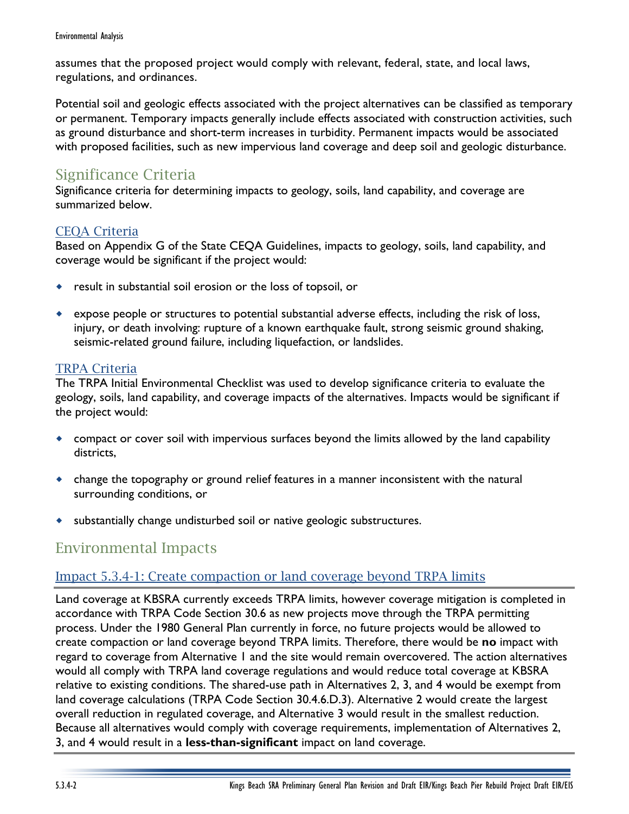assumes that the proposed project would comply with relevant, federal, state, and local laws, regulations, and ordinances.

Potential soil and geologic effects associated with the project alternatives can be classified as temporary or permanent. Temporary impacts generally include effects associated with construction activities, such as ground disturbance and short-term increases in turbidity. Permanent impacts would be associated with proposed facilities, such as new impervious land coverage and deep soil and geologic disturbance.

# Significance Criteria

Significance criteria for determining impacts to geology, soils, land capability, and coverage are summarized below.

# CEQA Criteria

Based on Appendix G of the State CEQA Guidelines, impacts to geology, soils, land capability, and coverage would be significant if the project would:

- result in substantial soil erosion or the loss of topsoil, or
- expose people or structures to potential substantial adverse effects, including the risk of loss, injury, or death involving: rupture of a known earthquake fault, strong seismic ground shaking, seismic-related ground failure, including liquefaction, or landslides.

# TRPA Criteria

The TRPA Initial Environmental Checklist was used to develop significance criteria to evaluate the geology, soils, land capability, and coverage impacts of the alternatives. Impacts would be significant if the project would:

- compact or cover soil with impervious surfaces beyond the limits allowed by the land capability districts,
- change the topography or ground relief features in a manner inconsistent with the natural surrounding conditions, or
- substantially change undisturbed soil or native geologic substructures.

# Environmental Impacts

# Impact 5.3.4-1: Create compaction or land coverage beyond TRPA limits

Land coverage at KBSRA currently exceeds TRPA limits, however coverage mitigation is completed in accordance with TRPA Code Section 30.6 as new projects move through the TRPA permitting process. Under the 1980 General Plan currently in force, no future projects would be allowed to create compaction or land coverage beyond TRPA limits. Therefore, there would be **no** impact with regard to coverage from Alternative 1 and the site would remain overcovered. The action alternatives would all comply with TRPA land coverage regulations and would reduce total coverage at KBSRA relative to existing conditions. The shared-use path in Alternatives 2, 3, and 4 would be exempt from land coverage calculations (TRPA Code Section 30.4.6.D.3). Alternative 2 would create the largest overall reduction in regulated coverage, and Alternative 3 would result in the smallest reduction. Because all alternatives would comply with coverage requirements, implementation of Alternatives 2, 3, and 4 would result in a **less-than-significant** impact on land coverage.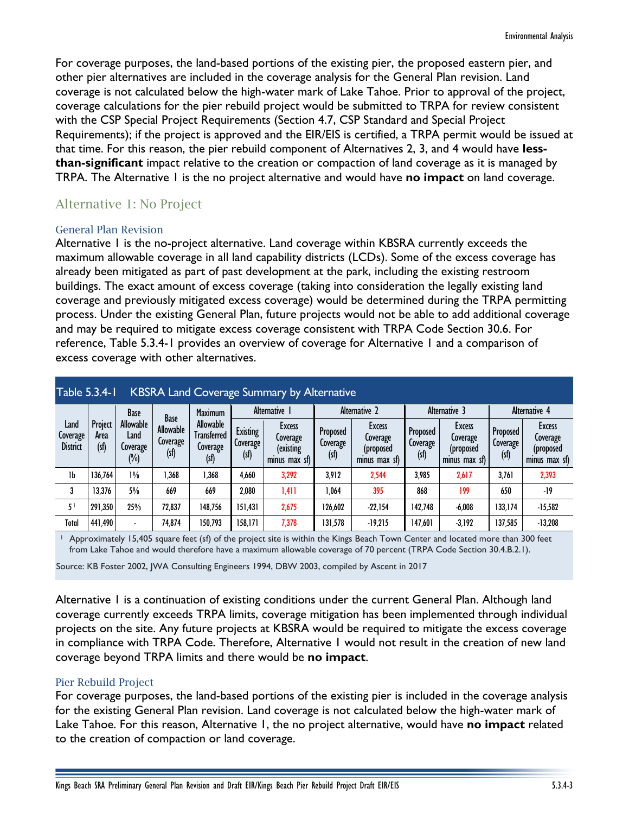For coverage purposes, the land-based portions of the existing pier, the proposed eastern pier, and other pier alternatives are included in the coverage analysis for the General Plan revision. Land coverage is not calculated below the high-water mark of Lake Tahoe. Prior to approval of the project, coverage calculations for the pier rebuild project would be submitted to TRPA for review consistent with the CSP Special Project Requirements (Section 4.7, CSP Standard and Special Project Requirements); if the project is approved and the EIR/EIS is certified, a TRPA permit would be issued at that time. For this reason, the pier rebuild component of Alternatives 2, 3, and 4 would have **lessthan-significant** impact relative to the creation or compaction of land coverage as it is managed by TRPA. The Alternative 1 is the no project alternative and would have **no impact** on land coverage.

# Alternative 1: No Project

#### General Plan Revision

Alternative 1 is the no-project alternative. Land coverage within KBSRA currently exceeds the maximum allowable coverage in all land capability districts (LCDs). Some of the excess coverage has already been mitigated as part of past development at the park, including the existing restroom buildings. The exact amount of excess coverage (taking into consideration the legally existing land coverage and previously mitigated excess coverage) would be determined during the TRPA permitting process. Under the existing General Plan, future projects would not be able to add additional coverage and may be required to mitigate excess coverage consistent with TRPA Code Section 30.6. For reference, Table 5.3.4-1 provides an overview of coverage for Alternative 1 and a comparison of excess coverage with other alternatives.

| <b>Table 5.3.4-1</b><br><b>KBSRA Land Coverage Summary by Alternative</b> |                        |                                      |                                             |                                              |                                    |                                                  |                              |                                                  |                             |                                                         |                              |                                                  |
|---------------------------------------------------------------------------|------------------------|--------------------------------------|---------------------------------------------|----------------------------------------------|------------------------------------|--------------------------------------------------|------------------------------|--------------------------------------------------|-----------------------------|---------------------------------------------------------|------------------------------|--------------------------------------------------|
|                                                                           |                        | <b>Base</b>                          |                                             | Maximum                                      | Alternative I                      |                                                  | Alternative 2                |                                                  | Alternative 3               |                                                         | Alternative 4                |                                                  |
| Land<br>Coverage<br><b>District</b>                                       | Project<br>Area<br>(s) | Allowable<br>Land<br>Coverage<br>(%) | <b>Base</b><br>Allowable<br>Coverage<br>(s) | Allowable<br>Transferred<br>Coverage<br>(sf) | <b>Existing</b><br>Coverage<br>(s) | Excess<br>Coverage<br>(existing<br>minus max sf) | Proposed<br>Coverage<br>(sf) | Excess<br>Coverage<br>(proposed<br>minus max sf) | Proposed<br>Coverage<br>(s) | <b>Excess</b><br>Coverage<br>(proposed<br>minus max sf) | Proposed<br>Coverage<br>(sf) | Excess<br>Coverage<br>(proposed<br>minus max sf) |
| 1b                                                                        | 136,764                | $1\%$                                | 1,368                                       | .368                                         | 4,660                              | 3,292                                            | 3.912                        | 2,544                                            | 3,985                       | 2,617                                                   | 3.761                        | 2,393                                            |
| 3                                                                         | 13,376                 | 5%                                   | 669                                         | 669                                          | 2,080                              | 1,411                                            | 1,064                        | 395                                              | 868                         | 199                                                     | 650                          | -19                                              |
| 5                                                                         | 291,350                | 25%                                  | 72,837                                      | 148,756                                      | 151,431                            | 2,675                                            | 126,602                      | $-22,154$                                        | 142,748                     | $-6.008$                                                | 133,174                      | $-15,582$                                        |
| Total                                                                     | 441,490                | $\overline{\phantom{a}}$             | 74,874                                      | 150,793                                      | 158,171                            | 7,378                                            | 131,578                      | $-19,215$                                        | 147,601                     | $-3,192$                                                | 137,585                      | $-13,208$                                        |

<sup>1</sup> Approximately 15,405 square feet (sf) of the project site is within the Kings Beach Town Center and located more than 300 feet from Lake Tahoe and would therefore have a maximum allowable coverage of 70 percent (TRPA Code Section 30.4.B.2.1).

Source: KB Foster 2002, JWA Consulting Engineers 1994, DBW 2003, compiled by Ascent in 2017

Alternative 1 is a continuation of existing conditions under the current General Plan. Although land coverage currently exceeds TRPA limits, coverage mitigation has been implemented through individual projects on the site. Any future projects at KBSRA would be required to mitigate the excess coverage in compliance with TRPA Code. Therefore, Alternative 1 would not result in the creation of new land coverage beyond TRPA limits and there would be **no impact**.

#### Pier Rebuild Project

For coverage purposes, the land-based portions of the existing pier is included in the coverage analysis for the existing General Plan revision. Land coverage is not calculated below the high-water mark of Lake Tahoe. For this reason, Alternative 1, the no project alternative, would have **no impact** related to the creation of compaction or land coverage.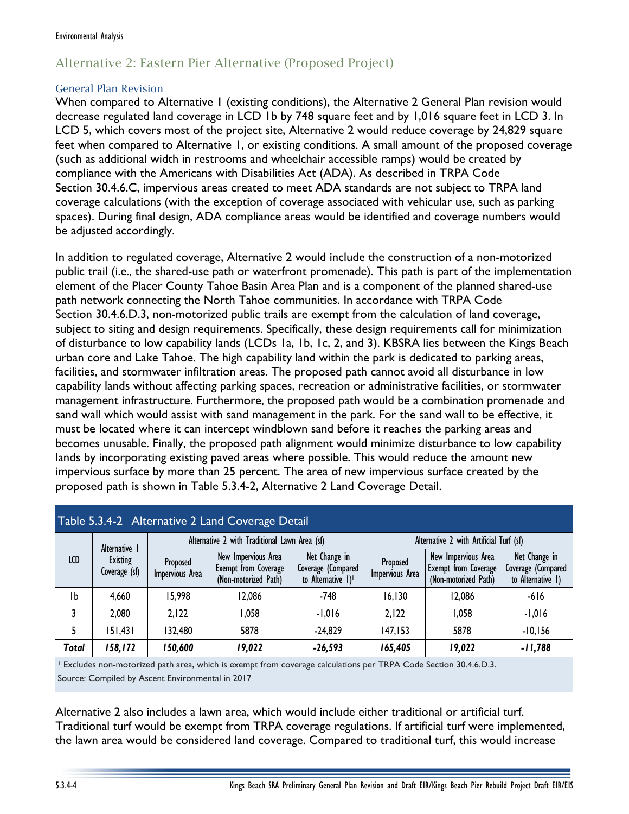# Alternative 2: Eastern Pier Alternative (Proposed Project)

#### General Plan Revision

When compared to Alternative 1 (existing conditions), the Alternative 2 General Plan revision would decrease regulated land coverage in LCD 1b by 748 square feet and by 1,016 square feet in LCD 3. In LCD 5, which covers most of the project site, Alternative 2 would reduce coverage by 24,829 square feet when compared to Alternative 1, or existing conditions. A small amount of the proposed coverage (such as additional width in restrooms and wheelchair accessible ramps) would be created by compliance with the Americans with Disabilities Act (ADA). As described in TRPA Code Section 30.4.6.C, impervious areas created to meet ADA standards are not subject to TRPA land coverage calculations (with the exception of coverage associated with vehicular use, such as parking spaces). During final design, ADA compliance areas would be identified and coverage numbers would be adjusted accordingly.

In addition to regulated coverage, Alternative 2 would include the construction of a non-motorized public trail (i.e., the shared-use path or waterfront promenade). This path is part of the implementation element of the Placer County Tahoe Basin Area Plan and is a component of the planned shared-use path network connecting the North Tahoe communities. In accordance with TRPA Code Section 30.4.6.D.3, non-motorized public trails are exempt from the calculation of land coverage, subject to siting and design requirements. Specifically, these design requirements call for minimization of disturbance to low capability lands (LCDs 1a, 1b, 1c, 2, and 3). KBSRA lies between the Kings Beach urban core and Lake Tahoe. The high capability land within the park is dedicated to parking areas, facilities, and stormwater infiltration areas. The proposed path cannot avoid all disturbance in low capability lands without affecting parking spaces, recreation or administrative facilities, or stormwater management infrastructure. Furthermore, the proposed path would be a combination promenade and sand wall which would assist with sand management in the park. For the sand wall to be effective, it must be located where it can intercept windblown sand before it reaches the parking areas and becomes unusable. Finally, the proposed path alignment would minimize disturbance to low capability lands by incorporating existing paved areas where possible. This would reduce the amount new impervious surface by more than 25 percent. The area of new impervious surface created by the proposed path is shown in Table 5.3.4-2, Alternative 2 Land Coverage Detail.

| Table 5.3.4-2 Alternative 2 Land Coverage Detail |                           |                             |                                                                     |                                                          |                                         |                                                                            |                                                          |  |
|--------------------------------------------------|---------------------------|-----------------------------|---------------------------------------------------------------------|----------------------------------------------------------|-----------------------------------------|----------------------------------------------------------------------------|----------------------------------------------------------|--|
| LCD                                              | Alternative 1             |                             | Alternative 2 with Traditional Lawn Area (sf)                       |                                                          | Alternative 2 with Artificial Turf (sf) |                                                                            |                                                          |  |
|                                                  | Existing<br>Coverage (sf) | Proposed<br>Impervious Area | New Impervious Area<br>Exempt from Coverage<br>(Non-motorized Path) | Net Change in<br>Coverage (Compared<br>to Alternative 1) | Proposed<br>Impervious Area             | New Impervious Area<br><b>Exempt from Coverage</b><br>(Non-motorized Path) | Net Change in<br>Coverage (Compared<br>to Alternative 1) |  |
| Ib                                               | 4,660                     | 15,998                      | 12,086                                                              | -748                                                     | 16, 130                                 | 12,086                                                                     | $-616$                                                   |  |
|                                                  | 2,080                     | 2,122                       | 1,058                                                               | $-1,016$                                                 | 2,122                                   | 1,058                                                                      | $-1,016$                                                 |  |
| 5                                                | 151,431                   | 132,480                     | 5878                                                                | $-24,829$                                                | 147, 153                                | 5878                                                                       | $-10,156$                                                |  |
| Total                                            | 158,172                   | 150,600                     | 19,022                                                              | $-26,593$                                                | 165,405                                 | 19,022                                                                     | $-11,788$                                                |  |

<sup>1</sup> Excludes non-motorized path area, which is exempt from coverage calculations per TRPA Code Section 30.4.6.D.3. Source: Compiled by Ascent Environmental in 2017

Alternative 2 also includes a lawn area, which would include either traditional or artificial turf. Traditional turf would be exempt from TRPA coverage regulations. If artificial turf were implemented, the lawn area would be considered land coverage. Compared to traditional turf, this would increase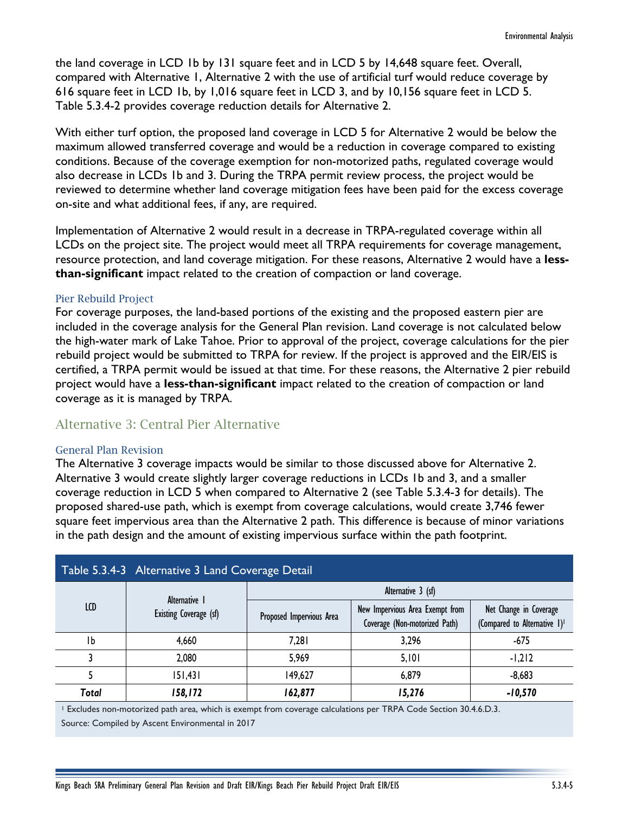the land coverage in LCD 1b by 131 square feet and in LCD 5 by 14,648 square feet. Overall, compared with Alternative 1, Alternative 2 with the use of artificial turf would reduce coverage by 616 square feet in LCD 1b, by 1,016 square feet in LCD 3, and by 10,156 square feet in LCD 5. Table 5.3.4-2 provides coverage reduction details for Alternative 2.

With either turf option, the proposed land coverage in LCD 5 for Alternative 2 would be below the maximum allowed transferred coverage and would be a reduction in coverage compared to existing conditions. Because of the coverage exemption for non-motorized paths, regulated coverage would also decrease in LCDs 1b and 3. During the TRPA permit review process, the project would be reviewed to determine whether land coverage mitigation fees have been paid for the excess coverage on-site and what additional fees, if any, are required.

Implementation of Alternative 2 would result in a decrease in TRPA-regulated coverage within all LCDs on the project site. The project would meet all TRPA requirements for coverage management, resource protection, and land coverage mitigation. For these reasons, Alternative 2 would have a **lessthan-significant** impact related to the creation of compaction or land coverage.

#### Pier Rebuild Project

For coverage purposes, the land-based portions of the existing and the proposed eastern pier are included in the coverage analysis for the General Plan revision. Land coverage is not calculated below the high-water mark of Lake Tahoe. Prior to approval of the project, coverage calculations for the pier rebuild project would be submitted to TRPA for review. If the project is approved and the EIR/EIS is certified, a TRPA permit would be issued at that time. For these reasons, the Alternative 2 pier rebuild project would have a **less-than-significant** impact related to the creation of compaction or land coverage as it is managed by TRPA.

# Alternative 3: Central Pier Alternative

#### General Plan Revision

The Alternative 3 coverage impacts would be similar to those discussed above for Alternative 2. Alternative 3 would create slightly larger coverage reductions in LCDs 1b and 3, and a smaller coverage reduction in LCD 5 when compared to Alternative 2 (see Table 5.3.4-3 for details). The proposed shared-use path, which is exempt from coverage calculations, would create 3,746 fewer square feet impervious area than the Alternative 2 path. This difference is because of minor variations in the path design and the amount of existing impervious surface within the path footprint.

| Table 5.3.4-3 Alternative 3 Land Coverage Detail |                        |                          |                                                                                                                                                      |                                                                    |  |  |  |  |
|--------------------------------------------------|------------------------|--------------------------|------------------------------------------------------------------------------------------------------------------------------------------------------|--------------------------------------------------------------------|--|--|--|--|
|                                                  | Alternative 1          | Alternative 3 (sf)       |                                                                                                                                                      |                                                                    |  |  |  |  |
| LCD                                              | Existing Coverage (sf) | Proposed Impervious Area | New Impervious Area Exempt from<br>Coverage (Non-motorized Path)<br>3,296<br>$-675$<br>$-1,212$<br>5,101<br>$-8,683$<br>6,879<br>$-10,570$<br>15,276 | Net Change in Coverage<br>(Compared to Alternative 1) <sup>1</sup> |  |  |  |  |
| Тb                                               | 4,660                  | 7,281                    |                                                                                                                                                      |                                                                    |  |  |  |  |
|                                                  | 2,080                  | 5,969                    |                                                                                                                                                      |                                                                    |  |  |  |  |
|                                                  | 151,431                | 149,627                  |                                                                                                                                                      |                                                                    |  |  |  |  |
| Total                                            | 158,172                | 162,877                  |                                                                                                                                                      |                                                                    |  |  |  |  |

<sup>1</sup> Excludes non-motorized path area, which is exempt from coverage calculations per TRPA Code Section 30.4.6.D.3. Source: Compiled by Ascent Environmental in 2017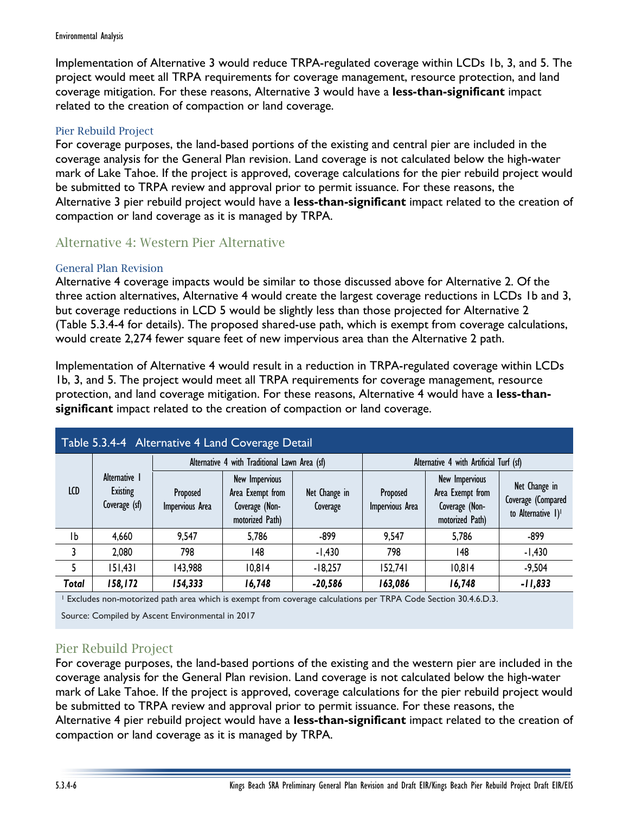Implementation of Alternative 3 would reduce TRPA-regulated coverage within LCDs 1b, 3, and 5. The project would meet all TRPA requirements for coverage management, resource protection, and land coverage mitigation. For these reasons, Alternative 3 would have a **less-than-significant** impact related to the creation of compaction or land coverage.

#### Pier Rebuild Project

For coverage purposes, the land-based portions of the existing and central pier are included in the coverage analysis for the General Plan revision. Land coverage is not calculated below the high-water mark of Lake Tahoe. If the project is approved, coverage calculations for the pier rebuild project would be submitted to TRPA review and approval prior to permit issuance. For these reasons, the Alternative 3 pier rebuild project would have a **less-than-significant** impact related to the creation of compaction or land coverage as it is managed by TRPA.

# Alternative 4: Western Pier Alternative

#### General Plan Revision

Alternative 4 coverage impacts would be similar to those discussed above for Alternative 2. Of the three action alternatives, Alternative 4 would create the largest coverage reductions in LCDs 1b and 3, but coverage reductions in LCD 5 would be slightly less than those projected for Alternative 2 (Table 5.3.4-4 for details). The proposed shared-use path, which is exempt from coverage calculations, would create 2,274 fewer square feet of new impervious area than the Alternative 2 path.

Implementation of Alternative 4 would result in a reduction in TRPA-regulated coverage within LCDs 1b, 3, and 5. The project would meet all TRPA requirements for coverage management, resource protection, and land coverage mitigation. For these reasons, Alternative 4 would have a **less-thansignificant** impact related to the creation of compaction or land coverage.

| Table 5.3.4-4 Alternative 4 Land Coverage Detail |                                                   |                             |                                                                                |                           |                                         |                                                                         |                                                                       |  |
|--------------------------------------------------|---------------------------------------------------|-----------------------------|--------------------------------------------------------------------------------|---------------------------|-----------------------------------------|-------------------------------------------------------------------------|-----------------------------------------------------------------------|--|
|                                                  | Alternative 1<br><b>Existing</b><br>Coverage (sf) |                             | Alternative 4 with Traditional Lawn Area (sf)                                  |                           | Alternative 4 with Artificial Turf (sf) |                                                                         |                                                                       |  |
| LCD                                              |                                                   | Proposed<br>Impervious Area | <b>New Impervious</b><br>Area Exempt from<br>Coverage (Non-<br>motorized Path) | Net Change in<br>Coverage | Proposed<br>Impervious Area             | New Impervious<br>Area Exempt from<br>Coverage (Non-<br>motorized Path) | Net Change in<br>Coverage (Compared<br>to Alternative 1) <sup>1</sup> |  |
| Ib                                               | 4,660                                             | 9,547                       | 5,786                                                                          | $-899$                    | 9,547                                   | 5,786                                                                   | $-899$                                                                |  |
| 3                                                | 2,080                                             | 798                         | 148                                                                            | $-1,430$                  | 798                                     | 148                                                                     | $-1,430$                                                              |  |
| 5                                                | 151,431                                           | 143,988                     | 10,814                                                                         | $-18,257$                 | 152,741                                 | 10,814                                                                  | $-9,504$                                                              |  |
| <b>Total</b>                                     | 158,172                                           | 154,333                     | 16,748                                                                         | $-20,586$                 | 163,086                                 | 16,748                                                                  | $-11,833$                                                             |  |

<sup>1</sup> Excludes non-motorized path area which is exempt from coverage calculations per TRPA Code Section 30.4.6.D.3.

Source: Compiled by Ascent Environmental in 2017

### Pier Rebuild Project

For coverage purposes, the land-based portions of the existing and the western pier are included in the coverage analysis for the General Plan revision. Land coverage is not calculated below the high-water mark of Lake Tahoe. If the project is approved, coverage calculations for the pier rebuild project would be submitted to TRPA review and approval prior to permit issuance. For these reasons, the Alternative 4 pier rebuild project would have a **less-than-significant** impact related to the creation of compaction or land coverage as it is managed by TRPA.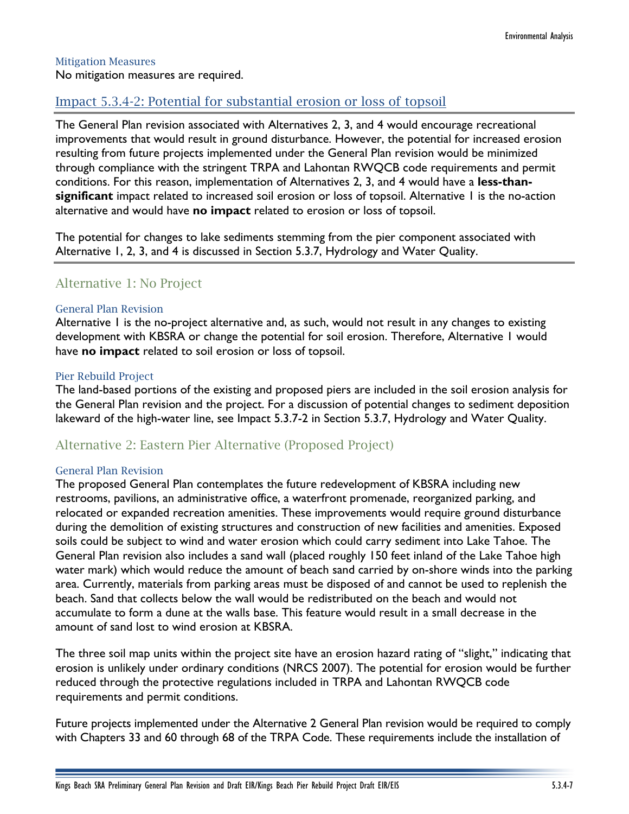#### Mitigation Measures

No mitigation measures are required.

## Impact 5.3.4-2: Potential for substantial erosion or loss of topsoil

The General Plan revision associated with Alternatives 2, 3, and 4 would encourage recreational improvements that would result in ground disturbance. However, the potential for increased erosion resulting from future projects implemented under the General Plan revision would be minimized through compliance with the stringent TRPA and Lahontan RWQCB code requirements and permit conditions. For this reason, implementation of Alternatives 2, 3, and 4 would have a **less-thansignificant** impact related to increased soil erosion or loss of topsoil. Alternative 1 is the no-action alternative and would have **no impact** related to erosion or loss of topsoil.

The potential for changes to lake sediments stemming from the pier component associated with Alternative 1, 2, 3, and 4 is discussed in Section 5.3.7, Hydrology and Water Quality.

## Alternative 1: No Project

#### General Plan Revision

Alternative 1 is the no-project alternative and, as such, would not result in any changes to existing development with KBSRA or change the potential for soil erosion. Therefore, Alternative 1 would have **no impact** related to soil erosion or loss of topsoil.

#### Pier Rebuild Project

The land-based portions of the existing and proposed piers are included in the soil erosion analysis for the General Plan revision and the project. For a discussion of potential changes to sediment deposition lakeward of the high-water line, see Impact 5.3.7-2 in Section 5.3.7, Hydrology and Water Quality.

### Alternative 2: Eastern Pier Alternative (Proposed Project)

#### General Plan Revision

The proposed General Plan contemplates the future redevelopment of KBSRA including new restrooms, pavilions, an administrative office, a waterfront promenade, reorganized parking, and relocated or expanded recreation amenities. These improvements would require ground disturbance during the demolition of existing structures and construction of new facilities and amenities. Exposed soils could be subject to wind and water erosion which could carry sediment into Lake Tahoe. The General Plan revision also includes a sand wall (placed roughly 150 feet inland of the Lake Tahoe high water mark) which would reduce the amount of beach sand carried by on-shore winds into the parking area. Currently, materials from parking areas must be disposed of and cannot be used to replenish the beach. Sand that collects below the wall would be redistributed on the beach and would not accumulate to form a dune at the walls base. This feature would result in a small decrease in the amount of sand lost to wind erosion at KBSRA.

The three soil map units within the project site have an erosion hazard rating of "slight," indicating that erosion is unlikely under ordinary conditions (NRCS 2007). The potential for erosion would be further reduced through the protective regulations included in TRPA and Lahontan RWQCB code requirements and permit conditions.

Future projects implemented under the Alternative 2 General Plan revision would be required to comply with Chapters 33 and 60 through 68 of the TRPA Code. These requirements include the installation of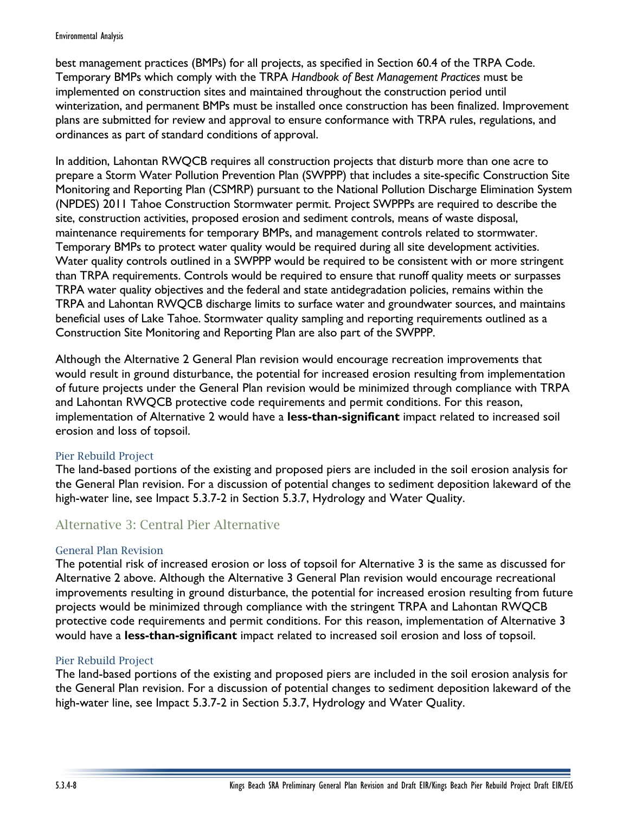#### Environmental Analysis

best management practices (BMPs) for all projects, as specified in Section 60.4 of the TRPA Code. Temporary BMPs which comply with the TRPA *Handbook of Best Management Practices* must be implemented on construction sites and maintained throughout the construction period until winterization, and permanent BMPs must be installed once construction has been finalized. Improvement plans are submitted for review and approval to ensure conformance with TRPA rules, regulations, and ordinances as part of standard conditions of approval.

In addition, Lahontan RWQCB requires all construction projects that disturb more than one acre to prepare a Storm Water Pollution Prevention Plan (SWPPP) that includes a site-specific Construction Site Monitoring and Reporting Plan (CSMRP) pursuant to the National Pollution Discharge Elimination System (NPDES) 2011 Tahoe Construction Stormwater permit. Project SWPPPs are required to describe the site, construction activities, proposed erosion and sediment controls, means of waste disposal, maintenance requirements for temporary BMPs, and management controls related to stormwater. Temporary BMPs to protect water quality would be required during all site development activities. Water quality controls outlined in a SWPPP would be required to be consistent with or more stringent than TRPA requirements. Controls would be required to ensure that runoff quality meets or surpasses TRPA water quality objectives and the federal and state antidegradation policies, remains within the TRPA and Lahontan RWQCB discharge limits to surface water and groundwater sources, and maintains beneficial uses of Lake Tahoe. Stormwater quality sampling and reporting requirements outlined as a Construction Site Monitoring and Reporting Plan are also part of the SWPPP.

Although the Alternative 2 General Plan revision would encourage recreation improvements that would result in ground disturbance, the potential for increased erosion resulting from implementation of future projects under the General Plan revision would be minimized through compliance with TRPA and Lahontan RWQCB protective code requirements and permit conditions. For this reason, implementation of Alternative 2 would have a **less-than-significant** impact related to increased soil erosion and loss of topsoil.

#### Pier Rebuild Project

The land-based portions of the existing and proposed piers are included in the soil erosion analysis for the General Plan revision. For a discussion of potential changes to sediment deposition lakeward of the high-water line, see Impact 5.3.7-2 in Section 5.3.7, Hydrology and Water Quality.

# Alternative 3: Central Pier Alternative

#### General Plan Revision

The potential risk of increased erosion or loss of topsoil for Alternative 3 is the same as discussed for Alternative 2 above. Although the Alternative 3 General Plan revision would encourage recreational improvements resulting in ground disturbance, the potential for increased erosion resulting from future projects would be minimized through compliance with the stringent TRPA and Lahontan RWQCB protective code requirements and permit conditions. For this reason, implementation of Alternative 3 would have a **less-than-significant** impact related to increased soil erosion and loss of topsoil.

#### Pier Rebuild Project

The land-based portions of the existing and proposed piers are included in the soil erosion analysis for the General Plan revision. For a discussion of potential changes to sediment deposition lakeward of the high-water line, see Impact 5.3.7-2 in Section 5.3.7, Hydrology and Water Quality.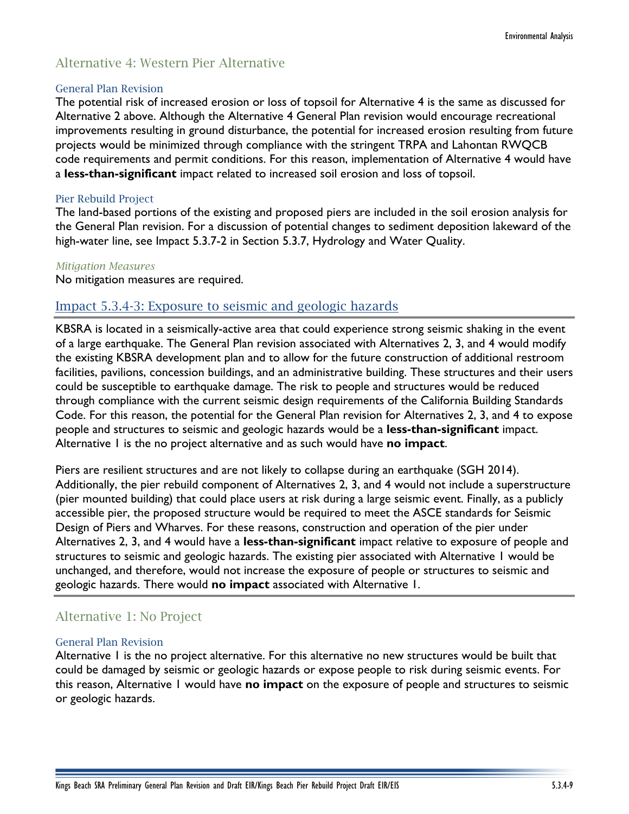# Alternative 4: Western Pier Alternative

#### General Plan Revision

The potential risk of increased erosion or loss of topsoil for Alternative 4 is the same as discussed for Alternative 2 above. Although the Alternative 4 General Plan revision would encourage recreational improvements resulting in ground disturbance, the potential for increased erosion resulting from future projects would be minimized through compliance with the stringent TRPA and Lahontan RWQCB code requirements and permit conditions. For this reason, implementation of Alternative 4 would have a **less-than-significant** impact related to increased soil erosion and loss of topsoil.

#### Pier Rebuild Project

The land-based portions of the existing and proposed piers are included in the soil erosion analysis for the General Plan revision. For a discussion of potential changes to sediment deposition lakeward of the high-water line, see Impact 5.3.7-2 in Section 5.3.7, Hydrology and Water Quality.

#### *Mitigation Measures*

No mitigation measures are required.

## Impact 5.3.4-3: Exposure to seismic and geologic hazards

KBSRA is located in a seismically-active area that could experience strong seismic shaking in the event of a large earthquake. The General Plan revision associated with Alternatives 2, 3, and 4 would modify the existing KBSRA development plan and to allow for the future construction of additional restroom facilities, pavilions, concession buildings, and an administrative building. These structures and their users could be susceptible to earthquake damage. The risk to people and structures would be reduced through compliance with the current seismic design requirements of the California Building Standards Code. For this reason, the potential for the General Plan revision for Alternatives 2, 3, and 4 to expose people and structures to seismic and geologic hazards would be a **less-than-significant** impact. Alternative 1 is the no project alternative and as such would have **no impact**.

Piers are resilient structures and are not likely to collapse during an earthquake (SGH 2014). Additionally, the pier rebuild component of Alternatives 2, 3, and 4 would not include a superstructure (pier mounted building) that could place users at risk during a large seismic event. Finally, as a publicly accessible pier, the proposed structure would be required to meet the ASCE standards for Seismic Design of Piers and Wharves. For these reasons, construction and operation of the pier under Alternatives 2, 3, and 4 would have a **less-than-significant** impact relative to exposure of people and structures to seismic and geologic hazards. The existing pier associated with Alternative 1 would be unchanged, and therefore, would not increase the exposure of people or structures to seismic and geologic hazards. There would **no impact** associated with Alternative 1.

# Alternative 1: No Project

#### General Plan Revision

Alternative 1 is the no project alternative. For this alternative no new structures would be built that could be damaged by seismic or geologic hazards or expose people to risk during seismic events. For this reason, Alternative 1 would have **no impact** on the exposure of people and structures to seismic or geologic hazards.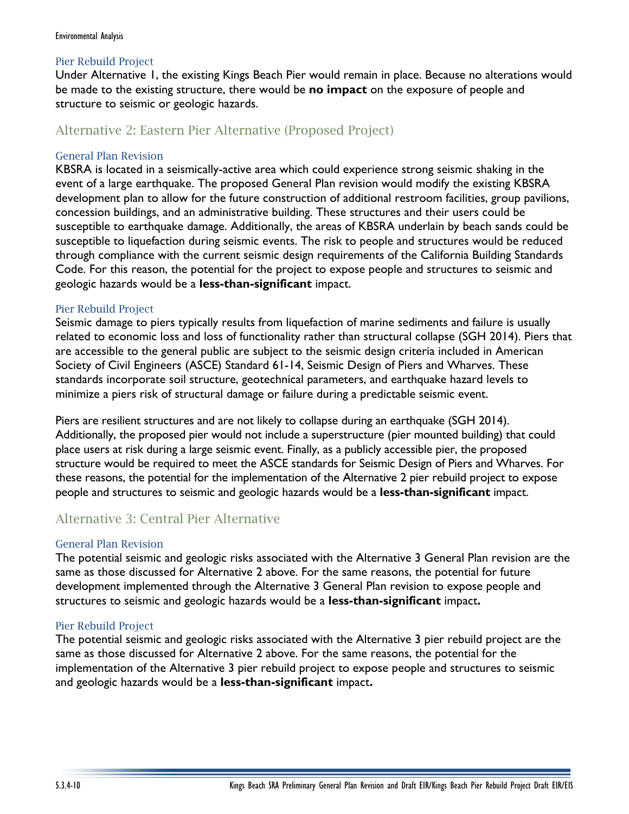#### Pier Rebuild Project

Under Alternative 1, the existing Kings Beach Pier would remain in place. Because no alterations would be made to the existing structure, there would be **no impact** on the exposure of people and structure to seismic or geologic hazards.

# Alternative 2: Eastern Pier Alternative (Proposed Project)

#### General Plan Revision

KBSRA is located in a seismically-active area which could experience strong seismic shaking in the event of a large earthquake. The proposed General Plan revision would modify the existing KBSRA development plan to allow for the future construction of additional restroom facilities, group pavilions, concession buildings, and an administrative building. These structures and their users could be susceptible to earthquake damage. Additionally, the areas of KBSRA underlain by beach sands could be susceptible to liquefaction during seismic events. The risk to people and structures would be reduced through compliance with the current seismic design requirements of the California Building Standards Code. For this reason, the potential for the project to expose people and structures to seismic and geologic hazards would be a **less-than-significant** impact.

#### Pier Rebuild Project

Seismic damage to piers typically results from liquefaction of marine sediments and failure is usually related to economic loss and loss of functionality rather than structural collapse (SGH 2014). Piers that are accessible to the general public are subject to the seismic design criteria included in American Society of Civil Engineers (ASCE) Standard 61-14, Seismic Design of Piers and Wharves. These standards incorporate soil structure, geotechnical parameters, and earthquake hazard levels to minimize a piers risk of structural damage or failure during a predictable seismic event.

Piers are resilient structures and are not likely to collapse during an earthquake (SGH 2014). Additionally, the proposed pier would not include a superstructure (pier mounted building) that could place users at risk during a large seismic event. Finally, as a publicly accessible pier, the proposed structure would be required to meet the ASCE standards for Seismic Design of Piers and Wharves. For these reasons, the potential for the implementation of the Alternative 2 pier rebuild project to expose people and structures to seismic and geologic hazards would be a **less-than-significant** impact.

# Alternative 3: Central Pier Alternative

#### General Plan Revision

The potential seismic and geologic risks associated with the Alternative 3 General Plan revision are the same as those discussed for Alternative 2 above. For the same reasons, the potential for future development implemented through the Alternative 3 General Plan revision to expose people and structures to seismic and geologic hazards would be a **less-than-significant** impact**.**

### Pier Rebuild Project

The potential seismic and geologic risks associated with the Alternative 3 pier rebuild project are the same as those discussed for Alternative 2 above. For the same reasons, the potential for the implementation of the Alternative 3 pier rebuild project to expose people and structures to seismic and geologic hazards would be a **less-than-significant** impact**.**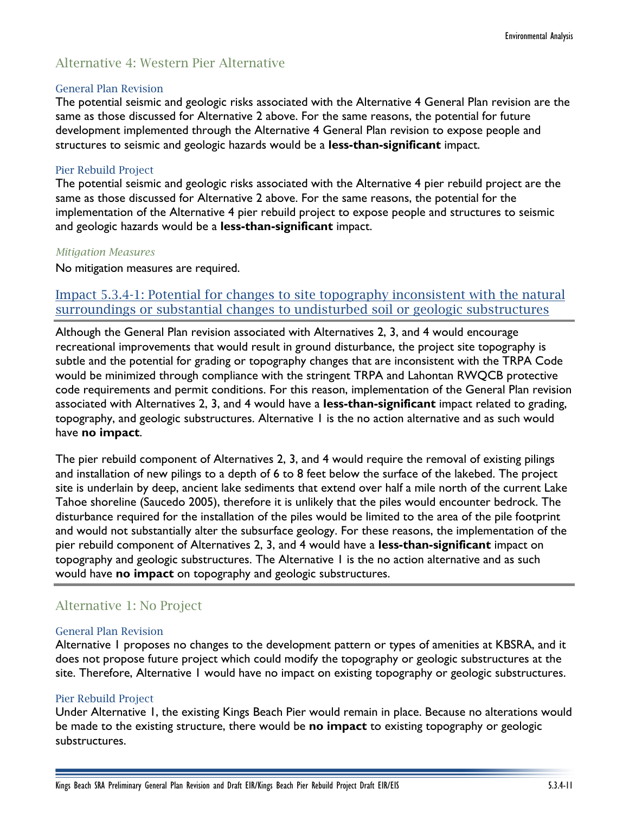# Alternative 4: Western Pier Alternative

#### General Plan Revision

The potential seismic and geologic risks associated with the Alternative 4 General Plan revision are the same as those discussed for Alternative 2 above. For the same reasons, the potential for future development implemented through the Alternative 4 General Plan revision to expose people and structures to seismic and geologic hazards would be a **less-than-significant** impact.

#### Pier Rebuild Project

The potential seismic and geologic risks associated with the Alternative 4 pier rebuild project are the same as those discussed for Alternative 2 above. For the same reasons, the potential for the implementation of the Alternative 4 pier rebuild project to expose people and structures to seismic and geologic hazards would be a **less-than-significant** impact.

#### *Mitigation Measures*

No mitigation measures are required.

## Impact 5.3.4-1: Potential for changes to site topography inconsistent with the natural surroundings or substantial changes to undisturbed soil or geologic substructures

Although the General Plan revision associated with Alternatives 2, 3, and 4 would encourage recreational improvements that would result in ground disturbance, the project site topography is subtle and the potential for grading or topography changes that are inconsistent with the TRPA Code would be minimized through compliance with the stringent TRPA and Lahontan RWQCB protective code requirements and permit conditions. For this reason, implementation of the General Plan revision associated with Alternatives 2, 3, and 4 would have a **less-than-significant** impact related to grading, topography, and geologic substructures. Alternative 1 is the no action alternative and as such would have **no impact**.

The pier rebuild component of Alternatives 2, 3, and 4 would require the removal of existing pilings and installation of new pilings to a depth of 6 to 8 feet below the surface of the lakebed. The project site is underlain by deep, ancient lake sediments that extend over half a mile north of the current Lake Tahoe shoreline (Saucedo 2005), therefore it is unlikely that the piles would encounter bedrock. The disturbance required for the installation of the piles would be limited to the area of the pile footprint and would not substantially alter the subsurface geology. For these reasons, the implementation of the pier rebuild component of Alternatives 2, 3, and 4 would have a **less-than-significant** impact on topography and geologic substructures. The Alternative 1 is the no action alternative and as such would have **no impact** on topography and geologic substructures.

# Alternative 1: No Project

#### General Plan Revision

Alternative 1 proposes no changes to the development pattern or types of amenities at KBSRA, and it does not propose future project which could modify the topography or geologic substructures at the site. Therefore, Alternative 1 would have no impact on existing topography or geologic substructures.

#### Pier Rebuild Project

Under Alternative 1, the existing Kings Beach Pier would remain in place. Because no alterations would be made to the existing structure, there would be **no impact** to existing topography or geologic substructures.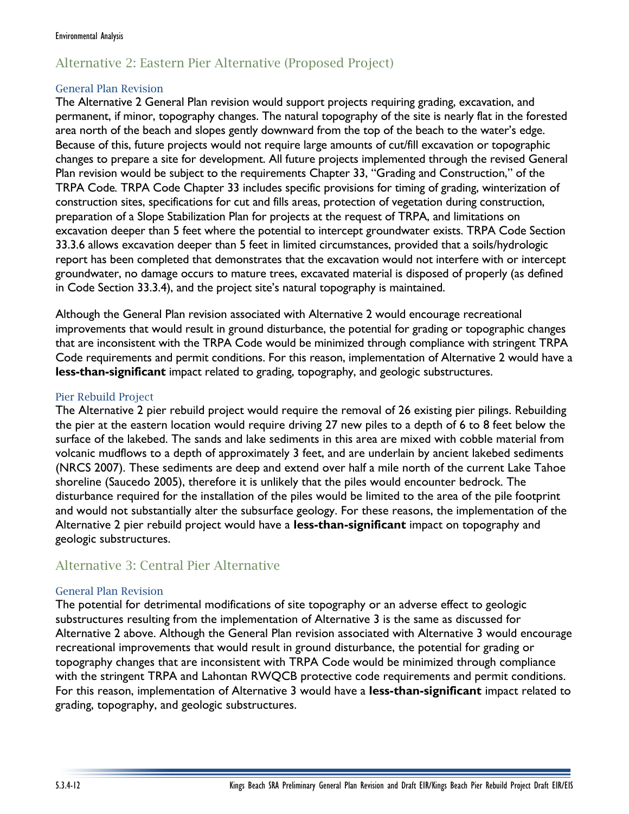# Alternative 2: Eastern Pier Alternative (Proposed Project)

#### General Plan Revision

The Alternative 2 General Plan revision would support projects requiring grading, excavation, and permanent, if minor, topography changes. The natural topography of the site is nearly flat in the forested area north of the beach and slopes gently downward from the top of the beach to the water's edge. Because of this, future projects would not require large amounts of cut/fill excavation or topographic changes to prepare a site for development. All future projects implemented through the revised General Plan revision would be subject to the requirements Chapter 33, "Grading and Construction," of the TRPA Code*.* TRPA Code Chapter 33 includes specific provisions for timing of grading, winterization of construction sites, specifications for cut and fills areas, protection of vegetation during construction, preparation of a Slope Stabilization Plan for projects at the request of TRPA, and limitations on excavation deeper than 5 feet where the potential to intercept groundwater exists. TRPA Code Section 33.3.6 allows excavation deeper than 5 feet in limited circumstances, provided that a soils/hydrologic report has been completed that demonstrates that the excavation would not interfere with or intercept groundwater, no damage occurs to mature trees, excavated material is disposed of properly (as defined in Code Section 33.3.4), and the project site's natural topography is maintained.

Although the General Plan revision associated with Alternative 2 would encourage recreational improvements that would result in ground disturbance, the potential for grading or topographic changes that are inconsistent with the TRPA Code would be minimized through compliance with stringent TRPA Code requirements and permit conditions. For this reason, implementation of Alternative 2 would have a **less-than-significant** impact related to grading, topography, and geologic substructures.

#### Pier Rebuild Project

The Alternative 2 pier rebuild project would require the removal of 26 existing pier pilings. Rebuilding the pier at the eastern location would require driving 27 new piles to a depth of 6 to 8 feet below the surface of the lakebed. The sands and lake sediments in this area are mixed with cobble material from volcanic mudflows to a depth of approximately 3 feet, and are underlain by ancient lakebed sediments (NRCS 2007). These sediments are deep and extend over half a mile north of the current Lake Tahoe shoreline (Saucedo 2005), therefore it is unlikely that the piles would encounter bedrock. The disturbance required for the installation of the piles would be limited to the area of the pile footprint and would not substantially alter the subsurface geology. For these reasons, the implementation of the Alternative 2 pier rebuild project would have a **less-than-significant** impact on topography and geologic substructures.

# Alternative 3: Central Pier Alternative

### General Plan Revision

The potential for detrimental modifications of site topography or an adverse effect to geologic substructures resulting from the implementation of Alternative 3 is the same as discussed for Alternative 2 above. Although the General Plan revision associated with Alternative 3 would encourage recreational improvements that would result in ground disturbance, the potential for grading or topography changes that are inconsistent with TRPA Code would be minimized through compliance with the stringent TRPA and Lahontan RWQCB protective code requirements and permit conditions. For this reason, implementation of Alternative 3 would have a **less-than-significant** impact related to grading, topography, and geologic substructures.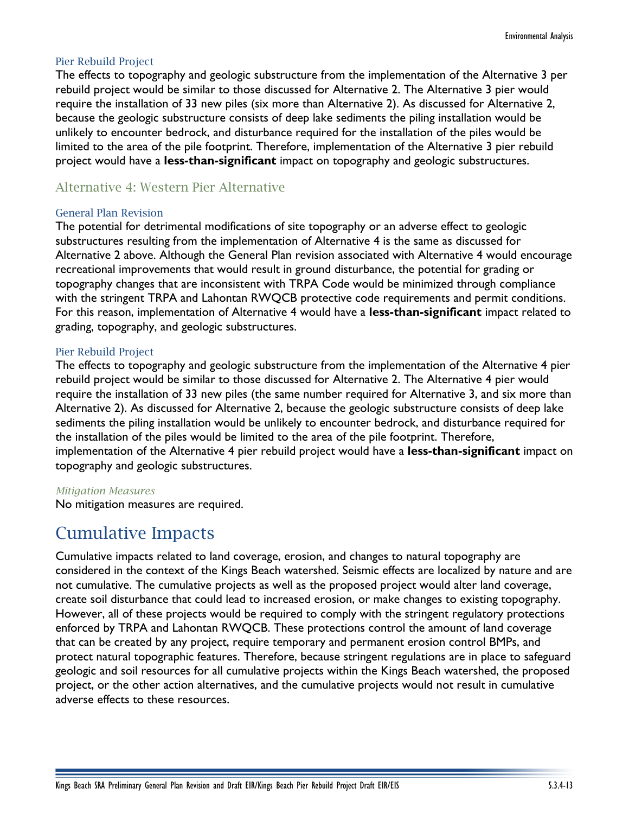#### Pier Rebuild Project

The effects to topography and geologic substructure from the implementation of the Alternative 3 per rebuild project would be similar to those discussed for Alternative 2. The Alternative 3 pier would require the installation of 33 new piles (six more than Alternative 2). As discussed for Alternative 2, because the geologic substructure consists of deep lake sediments the piling installation would be unlikely to encounter bedrock, and disturbance required for the installation of the piles would be limited to the area of the pile footprint. Therefore, implementation of the Alternative 3 pier rebuild project would have a **less-than-significant** impact on topography and geologic substructures.

# Alternative 4: Western Pier Alternative

#### General Plan Revision

The potential for detrimental modifications of site topography or an adverse effect to geologic substructures resulting from the implementation of Alternative 4 is the same as discussed for Alternative 2 above. Although the General Plan revision associated with Alternative 4 would encourage recreational improvements that would result in ground disturbance, the potential for grading or topography changes that are inconsistent with TRPA Code would be minimized through compliance with the stringent TRPA and Lahontan RWQCB protective code requirements and permit conditions. For this reason, implementation of Alternative 4 would have a **less-than-significant** impact related to grading, topography, and geologic substructures.

#### Pier Rebuild Project

The effects to topography and geologic substructure from the implementation of the Alternative 4 pier rebuild project would be similar to those discussed for Alternative 2. The Alternative 4 pier would require the installation of 33 new piles (the same number required for Alternative 3, and six more than Alternative 2). As discussed for Alternative 2, because the geologic substructure consists of deep lake sediments the piling installation would be unlikely to encounter bedrock, and disturbance required for the installation of the piles would be limited to the area of the pile footprint. Therefore, implementation of the Alternative 4 pier rebuild project would have a **less-than-significant** impact on topography and geologic substructures.

#### *Mitigation Measures*

No mitigation measures are required.

# Cumulative Impacts

Cumulative impacts related to land coverage, erosion, and changes to natural topography are considered in the context of the Kings Beach watershed. Seismic effects are localized by nature and are not cumulative. The cumulative projects as well as the proposed project would alter land coverage, create soil disturbance that could lead to increased erosion, or make changes to existing topography. However, all of these projects would be required to comply with the stringent regulatory protections enforced by TRPA and Lahontan RWQCB. These protections control the amount of land coverage that can be created by any project, require temporary and permanent erosion control BMPs, and protect natural topographic features. Therefore, because stringent regulations are in place to safeguard geologic and soil resources for all cumulative projects within the Kings Beach watershed, the proposed project, or the other action alternatives, and the cumulative projects would not result in cumulative adverse effects to these resources.